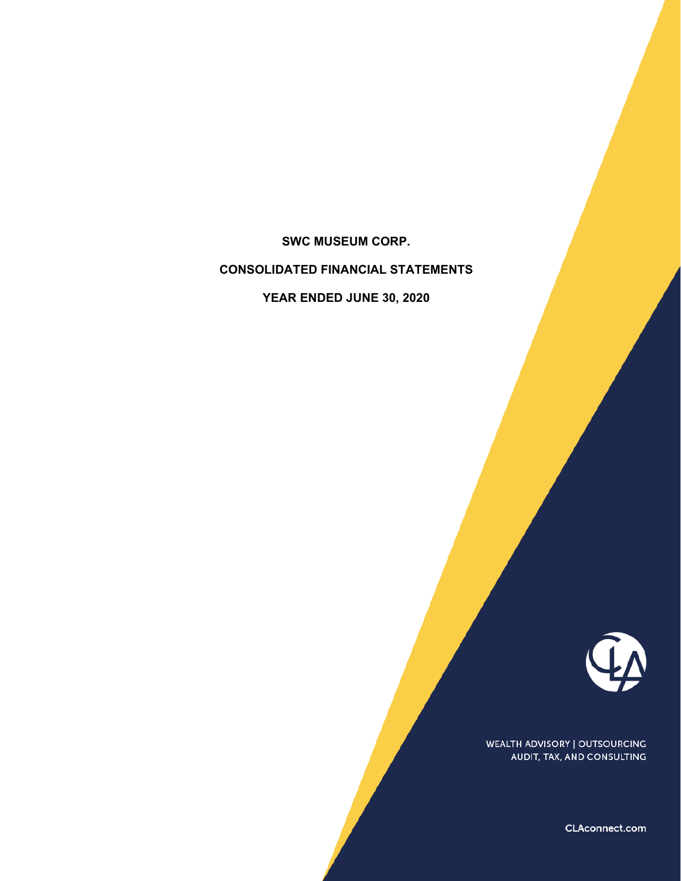**SWC MUSEUM CORP. CONSOLIDATED FINANCIAL STATEMENTS** 

**YEAR ENDED JUNE 30, 2020** 



WEALTH ADVISORY | OUTSOURCING AUDIT, TAX, AND CONSULTING

CLAconnect.com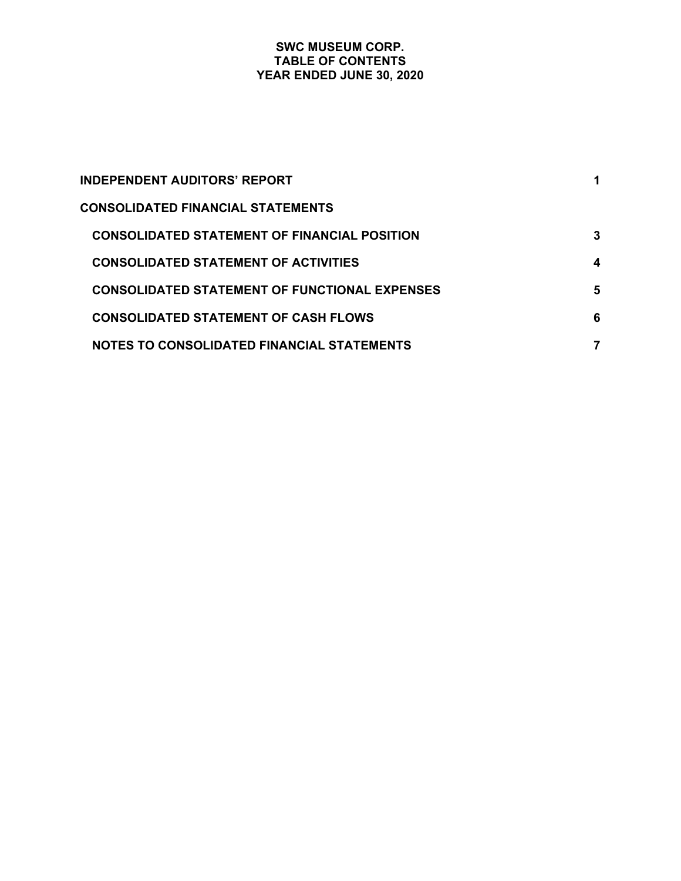## **SWC MUSEUM CORP. TABLE OF CONTENTS YEAR ENDED JUNE 30, 2020**

| INDEPENDENT AUDITORS' REPORT                         |                  |
|------------------------------------------------------|------------------|
| <b>CONSOLIDATED FINANCIAL STATEMENTS</b>             |                  |
| <b>CONSOLIDATED STATEMENT OF FINANCIAL POSITION</b>  | 3                |
| <b>CONSOLIDATED STATEMENT OF ACTIVITIES</b>          | $\boldsymbol{4}$ |
| <b>CONSOLIDATED STATEMENT OF FUNCTIONAL EXPENSES</b> | 5                |
| <b>CONSOLIDATED STATEMENT OF CASH FLOWS</b>          | 6                |
| NOTES TO CONSOLIDATED FINANCIAL STATEMENTS           |                  |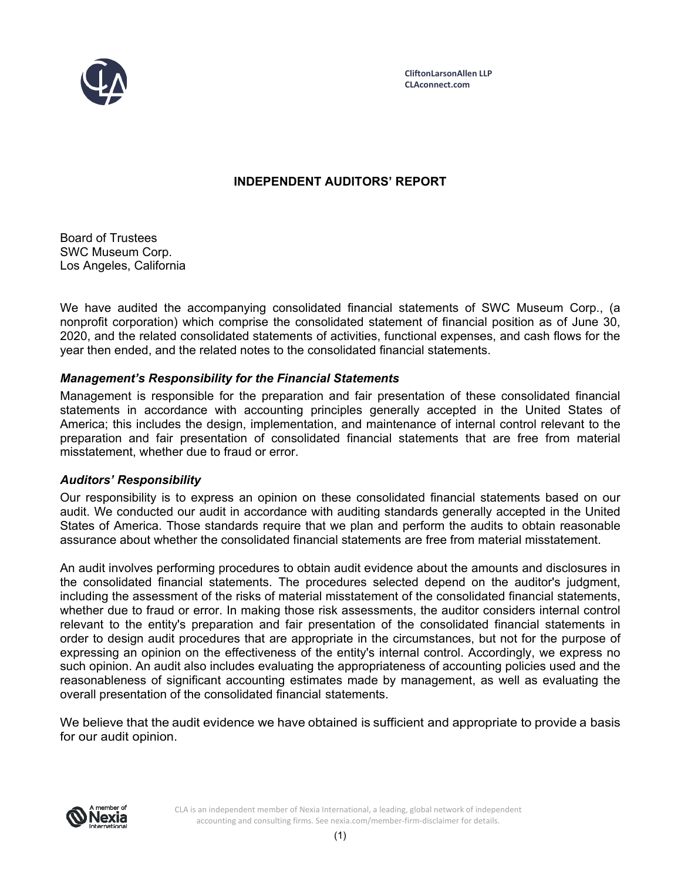

**CliftonLarsonAllen LLP CLAconnect.com**

# **INDEPENDENT AUDITORS' REPORT**

Board of Trustees SWC Museum Corp. Los Angeles, California

We have audited the accompanying consolidated financial statements of SWC Museum Corp., (a nonprofit corporation) which comprise the consolidated statement of financial position as of June 30, 2020, and the related consolidated statements of activities, functional expenses, and cash flows for the year then ended, and the related notes to the consolidated financial statements.

## *Management's Responsibility for the Financial Statements*

Management is responsible for the preparation and fair presentation of these consolidated financial statements in accordance with accounting principles generally accepted in the United States of America; this includes the design, implementation, and maintenance of internal control relevant to the preparation and fair presentation of consolidated financial statements that are free from material misstatement, whether due to fraud or error.

## *Auditors' Responsibility*

Our responsibility is to express an opinion on these consolidated financial statements based on our audit. We conducted our audit in accordance with auditing standards generally accepted in the United States of America. Those standards require that we plan and perform the audits to obtain reasonable assurance about whether the consolidated financial statements are free from material misstatement.

An audit involves performing procedures to obtain audit evidence about the amounts and disclosures in the consolidated financial statements. The procedures selected depend on the auditor's judgment, including the assessment of the risks of material misstatement of the consolidated financial statements, whether due to fraud or error. In making those risk assessments, the auditor considers internal control relevant to the entity's preparation and fair presentation of the consolidated financial statements in order to design audit procedures that are appropriate in the circumstances, but not for the purpose of expressing an opinion on the effectiveness of the entity's internal control. Accordingly, we express no such opinion. An audit also includes evaluating the appropriateness of accounting policies used and the reasonableness of significant accounting estimates made by management, as well as evaluating the overall presentation of the consolidated financial statements.

We believe that the audit evidence we have obtained is sufficient and appropriate to provide a basis for our audit opinion.



CLA is an independent member of Nexia International, a leading, global network of independent accounting and consulting firms. See nexia.com/member-firm-disclaimer for details.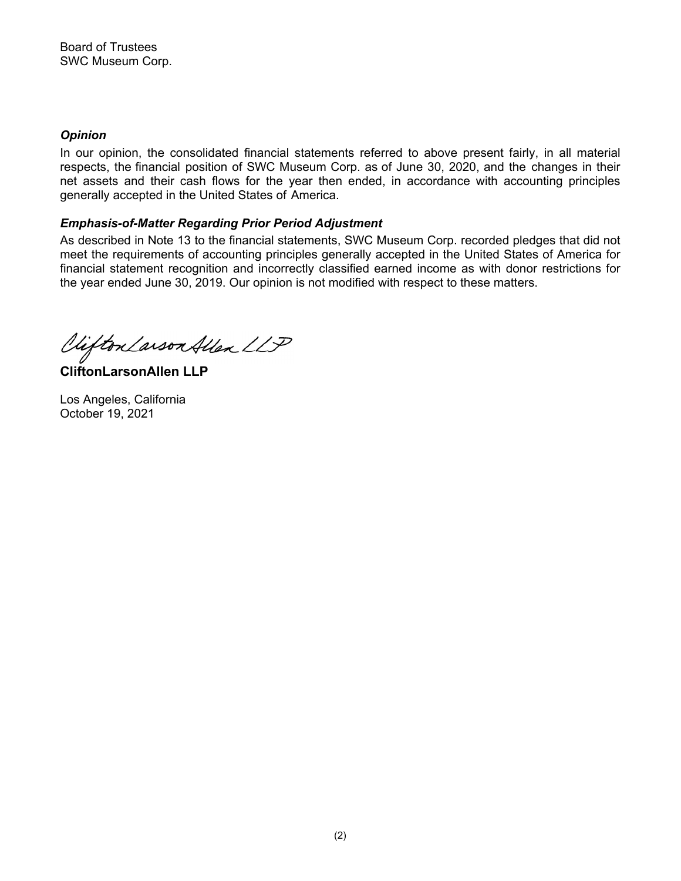## *Opinion*

In our opinion, the consolidated financial statements referred to above present fairly, in all material respects, the financial position of SWC Museum Corp. as of June 30, 2020, and the changes in their net assets and their cash flows for the year then ended, in accordance with accounting principles generally accepted in the United States of America.

# *Emphasis-of-Matter Regarding Prior Period Adjustment*

As described in Note 13 to the financial statements, SWC Museum Corp. recorded pledges that did not meet the requirements of accounting principles generally accepted in the United States of America for financial statement recognition and incorrectly classified earned income as with donor restrictions for the year ended June 30, 2019. Our opinion is not modified with respect to these matters.

Viifton Larson Allen LLP

**CliftonLarsonAllen LLP** 

Los Angeles, California October 19, 2021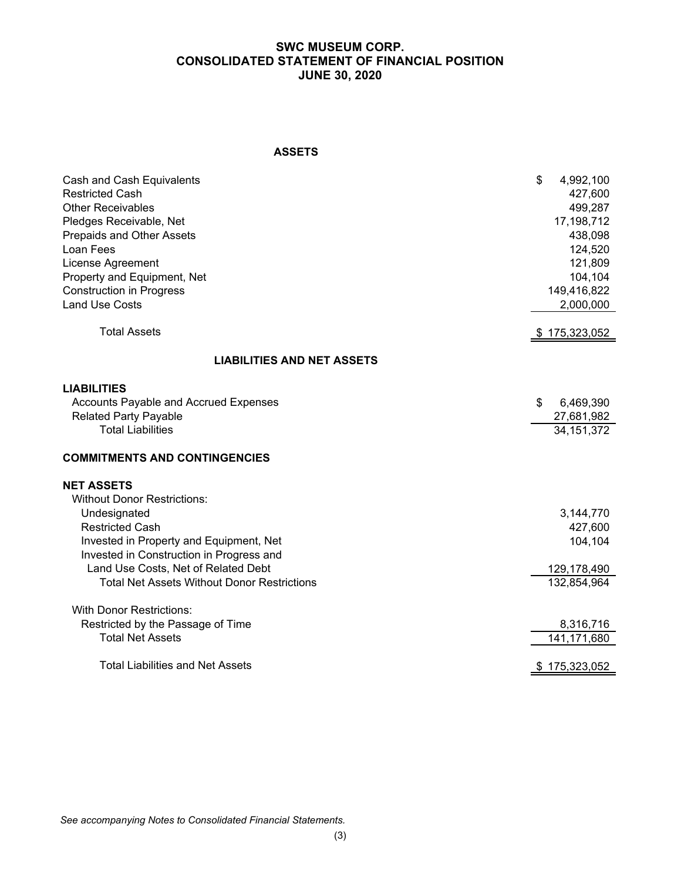## **SWC MUSEUM CORP. CONSOLIDATED STATEMENT OF FINANCIAL POSITION JUNE 30, 2020**

#### **ASSETS**

| Cash and Cash Equivalents<br><b>Restricted Cash</b><br><b>Other Receivables</b><br>Pledges Receivable, Net<br><b>Prepaids and Other Assets</b><br>Loan Fees<br>License Agreement<br>Property and Equipment, Net<br><b>Construction in Progress</b><br><b>Land Use Costs</b>           | \$<br>4,992,100<br>427,600<br>499,287<br>17,198,712<br>438,098<br>124,520<br>121,809<br>104,104<br>149,416,822<br>2,000,000 |
|---------------------------------------------------------------------------------------------------------------------------------------------------------------------------------------------------------------------------------------------------------------------------------------|-----------------------------------------------------------------------------------------------------------------------------|
| <b>Total Assets</b>                                                                                                                                                                                                                                                                   | \$175,323,052                                                                                                               |
| <b>LIABILITIES AND NET ASSETS</b>                                                                                                                                                                                                                                                     |                                                                                                                             |
| <b>LIABILITIES</b><br><b>Accounts Payable and Accrued Expenses</b><br><b>Related Party Payable</b><br><b>Total Liabilities</b><br><b>COMMITMENTS AND CONTINGENCIES</b>                                                                                                                | \$<br>6,469,390<br>27,681,982<br>34, 151, 372                                                                               |
| <b>NET ASSETS</b><br><b>Without Donor Restrictions:</b><br>Undesignated<br><b>Restricted Cash</b><br>Invested in Property and Equipment, Net<br>Invested in Construction in Progress and<br>Land Use Costs, Net of Related Debt<br><b>Total Net Assets Without Donor Restrictions</b> | 3,144,770<br>427,600<br>104,104<br>129,178,490<br>132,854,964                                                               |
| <b>With Donor Restrictions:</b><br>Restricted by the Passage of Time<br><b>Total Net Assets</b><br><b>Total Liabilities and Net Assets</b>                                                                                                                                            | 8,316,716<br>141, 171, 680<br>\$175,323,052                                                                                 |

*See accompanying Notes to Consolidated Financial Statements.*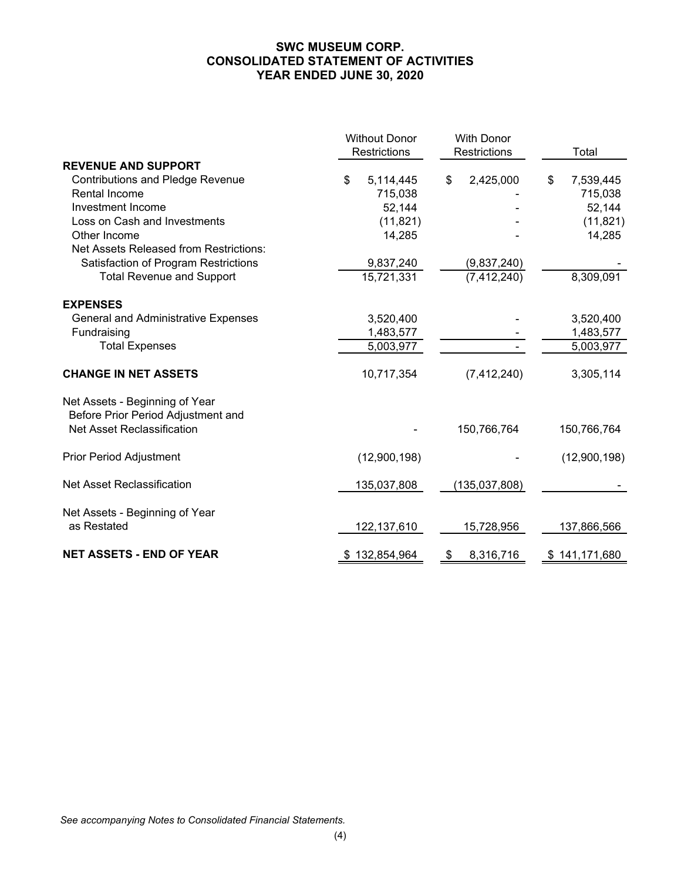## **SWC MUSEUM CORP. CONSOLIDATED STATEMENT OF ACTIVITIES YEAR ENDED JUNE 30, 2020**

|                                                                      | <b>Without Donor</b><br>Restrictions | <b>With Donor</b><br>Restrictions | Total           |
|----------------------------------------------------------------------|--------------------------------------|-----------------------------------|-----------------|
| <b>REVENUE AND SUPPORT</b>                                           |                                      |                                   |                 |
| <b>Contributions and Pledge Revenue</b>                              | \$<br>5,114,445                      | 2,425,000<br>\$                   | \$<br>7,539,445 |
| Rental Income                                                        | 715,038                              |                                   | 715,038         |
| Investment Income                                                    | 52,144                               |                                   | 52,144          |
| Loss on Cash and Investments                                         | (11, 821)                            |                                   | (11, 821)       |
| Other Income                                                         | 14,285                               |                                   | 14,285          |
| Net Assets Released from Restrictions:                               |                                      |                                   |                 |
| Satisfaction of Program Restrictions                                 | 9,837,240                            | (9,837,240)                       |                 |
| <b>Total Revenue and Support</b>                                     | 15,721,331                           | (7, 412, 240)                     | 8,309,091       |
| <b>EXPENSES</b>                                                      |                                      |                                   |                 |
| <b>General and Administrative Expenses</b>                           | 3,520,400                            |                                   | 3,520,400       |
| Fundraising                                                          | 1,483,577                            |                                   | 1,483,577       |
| <b>Total Expenses</b>                                                | 5,003,977                            |                                   | 5,003,977       |
| <b>CHANGE IN NET ASSETS</b>                                          | 10,717,354                           | (7, 412, 240)                     | 3,305,114       |
| Net Assets - Beginning of Year<br>Before Prior Period Adjustment and |                                      |                                   |                 |
| <b>Net Asset Reclassification</b>                                    |                                      | 150,766,764                       | 150,766,764     |
| <b>Prior Period Adjustment</b>                                       | (12,900,198)                         |                                   | (12,900,198)    |
| Net Asset Reclassification                                           | 135,037,808                          | (135,037,808)                     |                 |
| Net Assets - Beginning of Year<br>as Restated                        | 122, 137, 610                        | 15,728,956                        | 137,866,566     |
| <b>NET ASSETS - END OF YEAR</b>                                      | 132,854,964<br>S.                    | 8,316,716<br>\$                   | \$141,171,680   |

*See accompanying Notes to Consolidated Financial Statements.*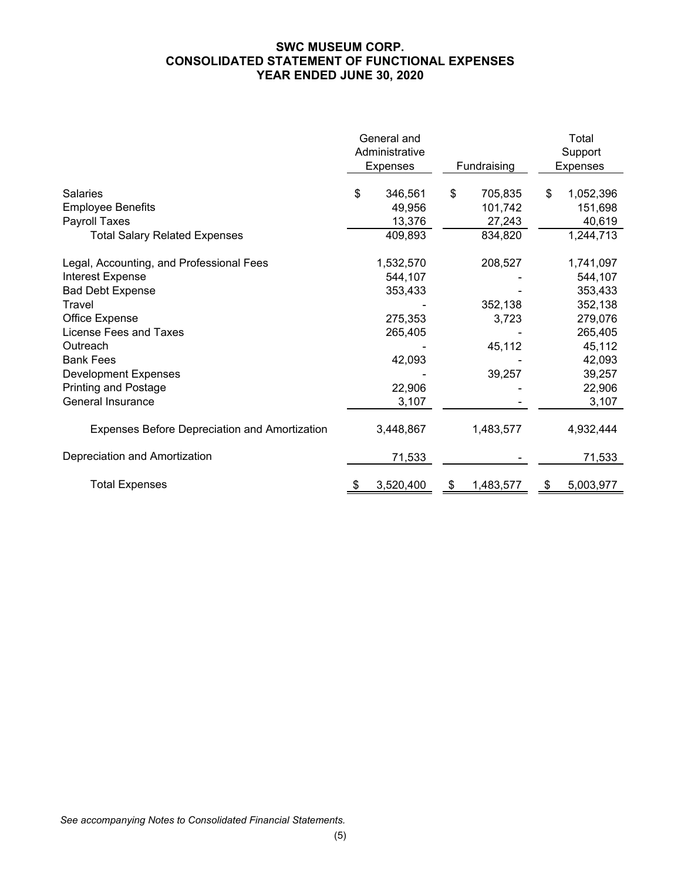# **SWC MUSEUM CORP. CONSOLIDATED STATEMENT OF FUNCTIONAL EXPENSES YEAR ENDED JUNE 30, 2020**

|                                                      | General and<br>Administrative<br><b>Expenses</b> | Fundraising     | Total<br>Support<br><b>Expenses</b> |
|------------------------------------------------------|--------------------------------------------------|-----------------|-------------------------------------|
| Salaries                                             | \$<br>346,561                                    | \$<br>705,835   | \$<br>1,052,396                     |
| <b>Employee Benefits</b>                             | 49,956                                           | 101,742         | 151,698                             |
| Payroll Taxes                                        | 13,376                                           | 27,243          | 40,619                              |
| <b>Total Salary Related Expenses</b>                 | 409,893                                          | 834,820         | 1,244,713                           |
|                                                      |                                                  |                 |                                     |
| Legal, Accounting, and Professional Fees             | 1,532,570                                        | 208,527         | 1,741,097                           |
| Interest Expense                                     | 544,107                                          |                 | 544,107                             |
| <b>Bad Debt Expense</b>                              | 353,433                                          |                 | 353,433                             |
| Travel                                               |                                                  | 352,138         | 352,138                             |
| Office Expense                                       | 275,353                                          | 3,723           | 279,076                             |
| <b>License Fees and Taxes</b>                        | 265,405                                          |                 | 265,405                             |
| Outreach                                             |                                                  | 45,112          | 45,112                              |
| <b>Bank Fees</b>                                     | 42,093                                           |                 | 42,093                              |
| <b>Development Expenses</b>                          |                                                  | 39,257          | 39,257                              |
| <b>Printing and Postage</b>                          | 22,906                                           |                 | 22,906                              |
| General Insurance                                    | 3,107                                            |                 | 3,107                               |
| <b>Expenses Before Depreciation and Amortization</b> | 3,448,867                                        | 1,483,577       | 4,932,444                           |
| Depreciation and Amortization                        | 71,533                                           |                 | 71,533                              |
| <b>Total Expenses</b>                                | \$<br>3,520,400                                  | \$<br>1,483,577 | \$<br>5,003,977                     |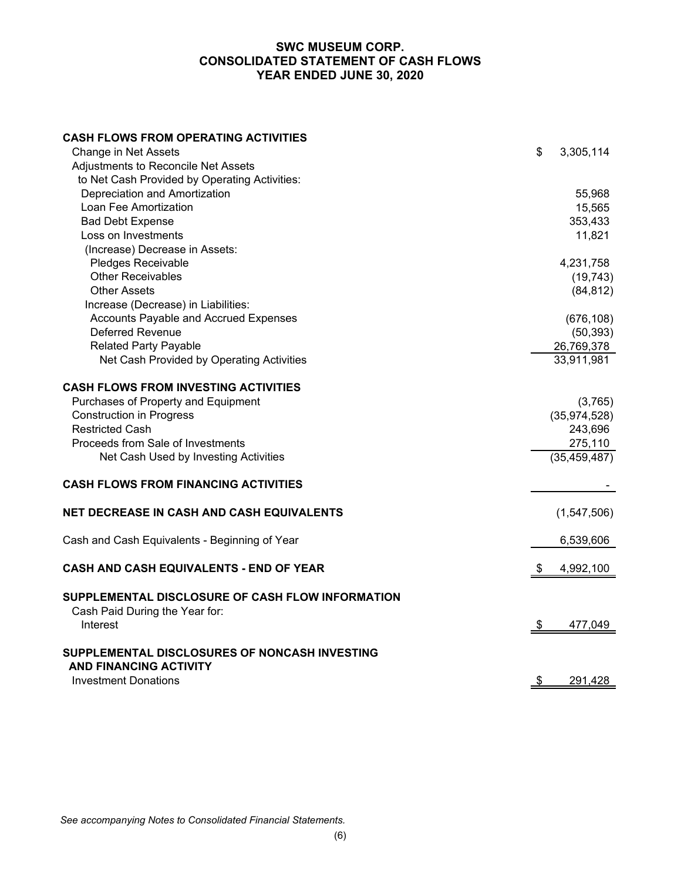# **SWC MUSEUM CORP. CONSOLIDATED STATEMENT OF CASH FLOWS YEAR ENDED JUNE 30, 2020**

| <b>CASH FLOWS FROM OPERATING ACTIVITIES</b>                                                    |    |                |
|------------------------------------------------------------------------------------------------|----|----------------|
| Change in Net Assets                                                                           | \$ | 3,305,114      |
| Adjustments to Reconcile Net Assets                                                            |    |                |
| to Net Cash Provided by Operating Activities:                                                  |    |                |
| Depreciation and Amortization                                                                  |    | 55,968         |
| Loan Fee Amortization                                                                          |    | 15,565         |
| <b>Bad Debt Expense</b>                                                                        |    | 353,433        |
| Loss on Investments                                                                            |    | 11,821         |
| (Increase) Decrease in Assets:                                                                 |    |                |
| Pledges Receivable                                                                             |    | 4,231,758      |
| <b>Other Receivables</b>                                                                       |    | (19, 743)      |
| <b>Other Assets</b>                                                                            |    | (84, 812)      |
| Increase (Decrease) in Liabilities:                                                            |    |                |
| Accounts Payable and Accrued Expenses                                                          |    | (676, 108)     |
| <b>Deferred Revenue</b>                                                                        |    | (50, 393)      |
| <b>Related Party Payable</b>                                                                   |    | 26,769,378     |
| Net Cash Provided by Operating Activities                                                      |    | 33,911,981     |
| <b>CASH FLOWS FROM INVESTING ACTIVITIES</b>                                                    |    |                |
| Purchases of Property and Equipment                                                            |    | (3,765)        |
| <b>Construction in Progress</b>                                                                |    | (35, 974, 528) |
| <b>Restricted Cash</b>                                                                         |    | 243,696        |
| Proceeds from Sale of Investments                                                              |    | 275,110        |
| Net Cash Used by Investing Activities                                                          |    | (35, 459, 487) |
| <b>CASH FLOWS FROM FINANCING ACTIVITIES</b>                                                    |    |                |
| <b>NET DECREASE IN CASH AND CASH EQUIVALENTS</b>                                               |    | (1,547,506)    |
| Cash and Cash Equivalents - Beginning of Year                                                  |    | 6,539,606      |
| CASH AND CASH EQUIVALENTS - END OF YEAR                                                        | \$ | 4,992,100      |
| SUPPLEMENTAL DISCLOSURE OF CASH FLOW INFORMATION<br>Cash Paid During the Year for:<br>Interest | S  | 477,049        |
| SUPPLEMENTAL DISCLOSURES OF NONCASH INVESTING<br><b>AND FINANCING ACTIVITY</b>                 |    |                |
| <b>Investment Donations</b>                                                                    | \$ | 291,428        |

*See accompanying Notes to Consolidated Financial Statements.*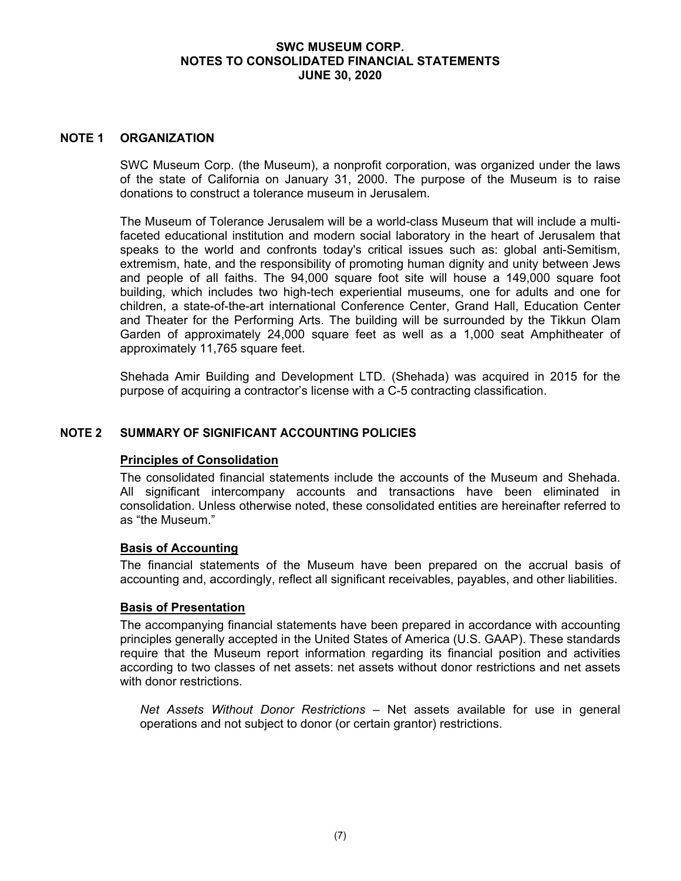#### **NOTE 1 ORGANIZATION**

SWC Museum Corp. (the Museum), a nonprofit corporation, was organized under the laws of the state of California on January 31, 2000. The purpose of the Museum is to raise donations to construct a tolerance museum in Jerusalem.

The Museum of Tolerance Jerusalem will be a world-class Museum that will include a multifaceted educational institution and modern social laboratory in the heart of Jerusalem that speaks to the world and confronts today's critical issues such as: global anti-Semitism, extremism, hate, and the responsibility of promoting human dignity and unity between Jews and people of all faiths. The 94,000 square foot site will house a 149,000 square foot building, which includes two high-tech experiential museums, one for adults and one for children, a state-of-the-art international Conference Center, Grand Hall, Education Center and Theater for the Performing Arts. The building will be surrounded by the Tikkun Olam Garden of approximately 24,000 square feet as well as a 1,000 seat Amphitheater of approximately 11,765 square feet.

Shehada Amir Building and Development LTD. (Shehada) was acquired in 2015 for the purpose of acquiring a contractor's license with a C-5 contracting classification.

#### **NOTE 2 SUMMARY OF SIGNIFICANT ACCOUNTING POLICIES**

#### **Principles of Consolidation**

The consolidated financial statements include the accounts of the Museum and Shehada. All significant intercompany accounts and transactions have been eliminated in consolidation. Unless otherwise noted, these consolidated entities are hereinafter referred to as "the Museum."

#### **Basis of Accounting**

The financial statements of the Museum have been prepared on the accrual basis of accounting and, accordingly, reflect all significant receivables, payables, and other liabilities.

#### **Basis of Presentation**

The accompanying financial statements have been prepared in accordance with accounting principles generally accepted in the United States of America (U.S. GAAP). These standards require that the Museum report information regarding its financial position and activities according to two classes of net assets: net assets without donor restrictions and net assets with donor restrictions.

*Net Assets Without Donor Restrictions* – Net assets available for use in general operations and not subject to donor (or certain grantor) restrictions.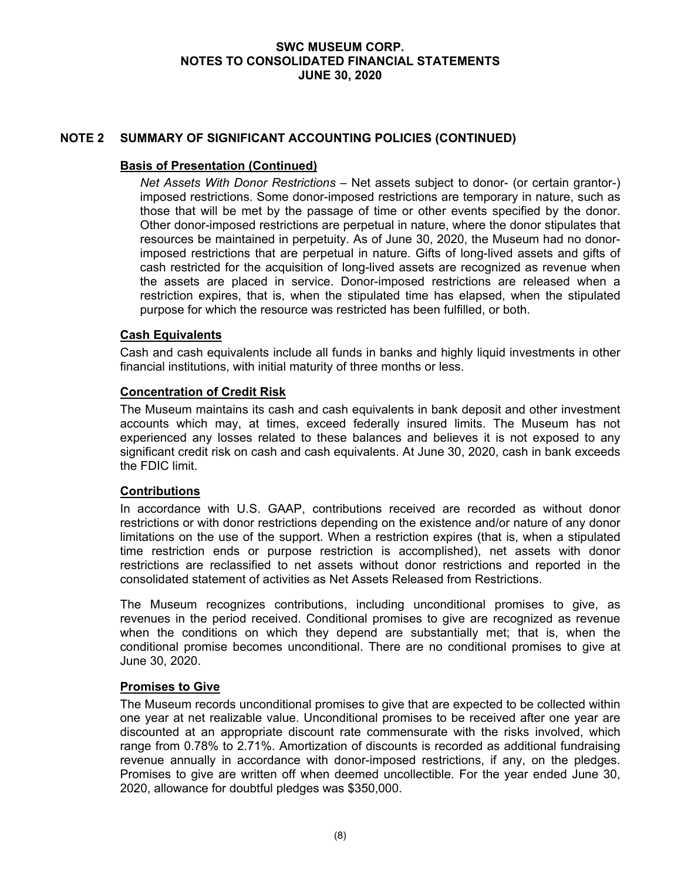## **NOTE 2 SUMMARY OF SIGNIFICANT ACCOUNTING POLICIES (CONTINUED)**

#### **Basis of Presentation (Continued)**

*Net Assets With Donor Restrictions* – Net assets subject to donor- (or certain grantor-) imposed restrictions. Some donor-imposed restrictions are temporary in nature, such as those that will be met by the passage of time or other events specified by the donor. Other donor-imposed restrictions are perpetual in nature, where the donor stipulates that resources be maintained in perpetuity. As of June 30, 2020, the Museum had no donorimposed restrictions that are perpetual in nature. Gifts of long-lived assets and gifts of cash restricted for the acquisition of long-lived assets are recognized as revenue when the assets are placed in service. Donor-imposed restrictions are released when a restriction expires, that is, when the stipulated time has elapsed, when the stipulated purpose for which the resource was restricted has been fulfilled, or both.

#### **Cash Equivalents**

Cash and cash equivalents include all funds in banks and highly liquid investments in other financial institutions, with initial maturity of three months or less.

## **Concentration of Credit Risk**

The Museum maintains its cash and cash equivalents in bank deposit and other investment accounts which may, at times, exceed federally insured limits. The Museum has not experienced any losses related to these balances and believes it is not exposed to any significant credit risk on cash and cash equivalents. At June 30, 2020, cash in bank exceeds the FDIC limit.

#### **Contributions**

In accordance with U.S. GAAP, contributions received are recorded as without donor restrictions or with donor restrictions depending on the existence and/or nature of any donor limitations on the use of the support. When a restriction expires (that is, when a stipulated time restriction ends or purpose restriction is accomplished), net assets with donor restrictions are reclassified to net assets without donor restrictions and reported in the consolidated statement of activities as Net Assets Released from Restrictions.

The Museum recognizes contributions, including unconditional promises to give, as revenues in the period received. Conditional promises to give are recognized as revenue when the conditions on which they depend are substantially met; that is, when the conditional promise becomes unconditional. There are no conditional promises to give at June 30, 2020.

#### **Promises to Give**

The Museum records unconditional promises to give that are expected to be collected within one year at net realizable value. Unconditional promises to be received after one year are discounted at an appropriate discount rate commensurate with the risks involved, which range from 0.78% to 2.71%. Amortization of discounts is recorded as additional fundraising revenue annually in accordance with donor-imposed restrictions, if any, on the pledges. Promises to give are written off when deemed uncollectible. For the year ended June 30, 2020, allowance for doubtful pledges was \$350,000.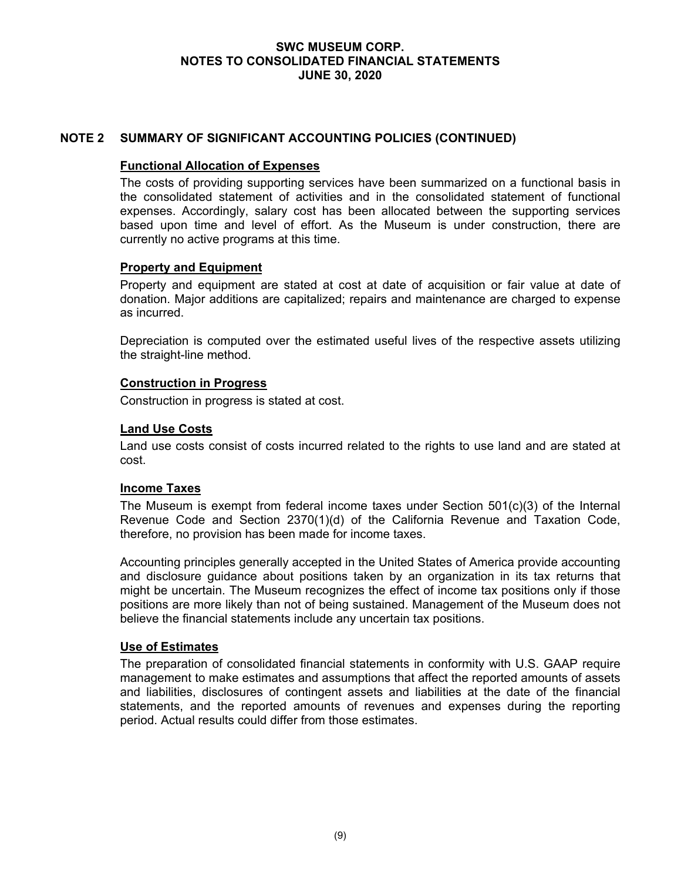## **NOTE 2 SUMMARY OF SIGNIFICANT ACCOUNTING POLICIES (CONTINUED)**

#### **Functional Allocation of Expenses**

The costs of providing supporting services have been summarized on a functional basis in the consolidated statement of activities and in the consolidated statement of functional expenses. Accordingly, salary cost has been allocated between the supporting services based upon time and level of effort. As the Museum is under construction, there are currently no active programs at this time.

#### **Property and Equipment**

Property and equipment are stated at cost at date of acquisition or fair value at date of donation. Major additions are capitalized; repairs and maintenance are charged to expense as incurred.

Depreciation is computed over the estimated useful lives of the respective assets utilizing the straight-line method.

## **Construction in Progress**

Construction in progress is stated at cost.

#### **Land Use Costs**

Land use costs consist of costs incurred related to the rights to use land and are stated at cost.

#### **Income Taxes**

The Museum is exempt from federal income taxes under Section  $501(c)(3)$  of the Internal Revenue Code and Section 2370(1)(d) of the California Revenue and Taxation Code, therefore, no provision has been made for income taxes.

Accounting principles generally accepted in the United States of America provide accounting and disclosure guidance about positions taken by an organization in its tax returns that might be uncertain. The Museum recognizes the effect of income tax positions only if those positions are more likely than not of being sustained. Management of the Museum does not believe the financial statements include any uncertain tax positions.

#### **Use of Estimates**

The preparation of consolidated financial statements in conformity with U.S. GAAP require management to make estimates and assumptions that affect the reported amounts of assets and liabilities, disclosures of contingent assets and liabilities at the date of the financial statements, and the reported amounts of revenues and expenses during the reporting period. Actual results could differ from those estimates.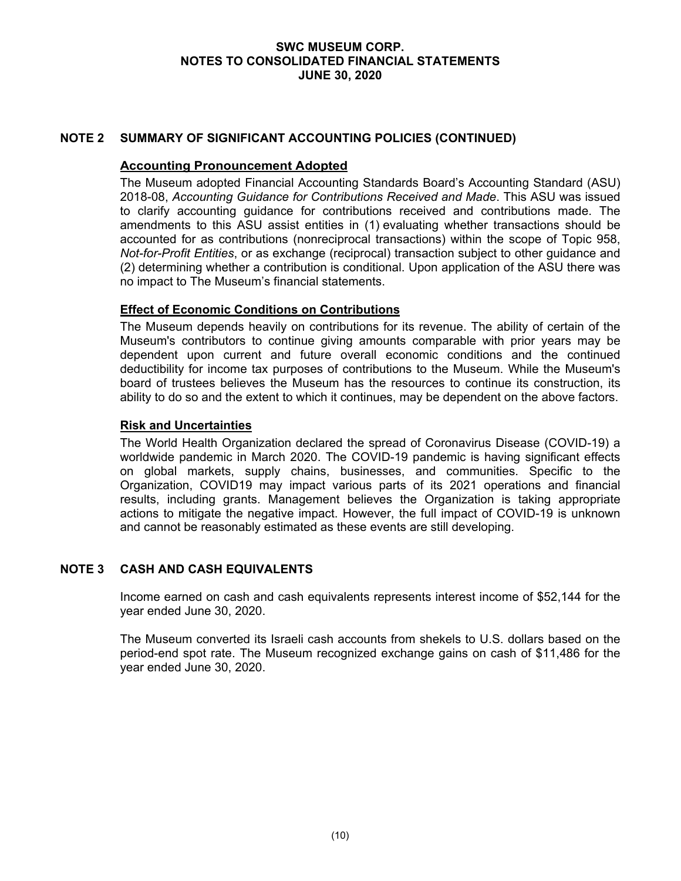## **NOTE 2 SUMMARY OF SIGNIFICANT ACCOUNTING POLICIES (CONTINUED)**

#### **Accounting Pronouncement Adopted**

The Museum adopted Financial Accounting Standards Board's Accounting Standard (ASU) 2018-08, *Accounting Guidance for Contributions Received and Made*. This ASU was issued to clarify accounting guidance for contributions received and contributions made. The amendments to this ASU assist entities in (1) evaluating whether transactions should be accounted for as contributions (nonreciprocal transactions) within the scope of Topic 958, *Not-for-Profit Entities*, or as exchange (reciprocal) transaction subject to other guidance and (2) determining whether a contribution is conditional. Upon application of the ASU there was no impact to The Museum's financial statements.

## **Effect of Economic Conditions on Contributions**

The Museum depends heavily on contributions for its revenue. The ability of certain of the Museum's contributors to continue giving amounts comparable with prior years may be dependent upon current and future overall economic conditions and the continued deductibility for income tax purposes of contributions to the Museum. While the Museum's board of trustees believes the Museum has the resources to continue its construction, its ability to do so and the extent to which it continues, may be dependent on the above factors.

## **Risk and Uncertainties**

The World Health Organization declared the spread of Coronavirus Disease (COVID-19) a worldwide pandemic in March 2020. The COVID-19 pandemic is having significant effects on global markets, supply chains, businesses, and communities. Specific to the Organization, COVID19 may impact various parts of its 2021 operations and financial results, including grants. Management believes the Organization is taking appropriate actions to mitigate the negative impact. However, the full impact of COVID-19 is unknown and cannot be reasonably estimated as these events are still developing.

# **NOTE 3 CASH AND CASH EQUIVALENTS**

Income earned on cash and cash equivalents represents interest income of \$52,144 for the year ended June 30, 2020.

The Museum converted its Israeli cash accounts from shekels to U.S. dollars based on the period-end spot rate. The Museum recognized exchange gains on cash of \$11,486 for the year ended June 30, 2020.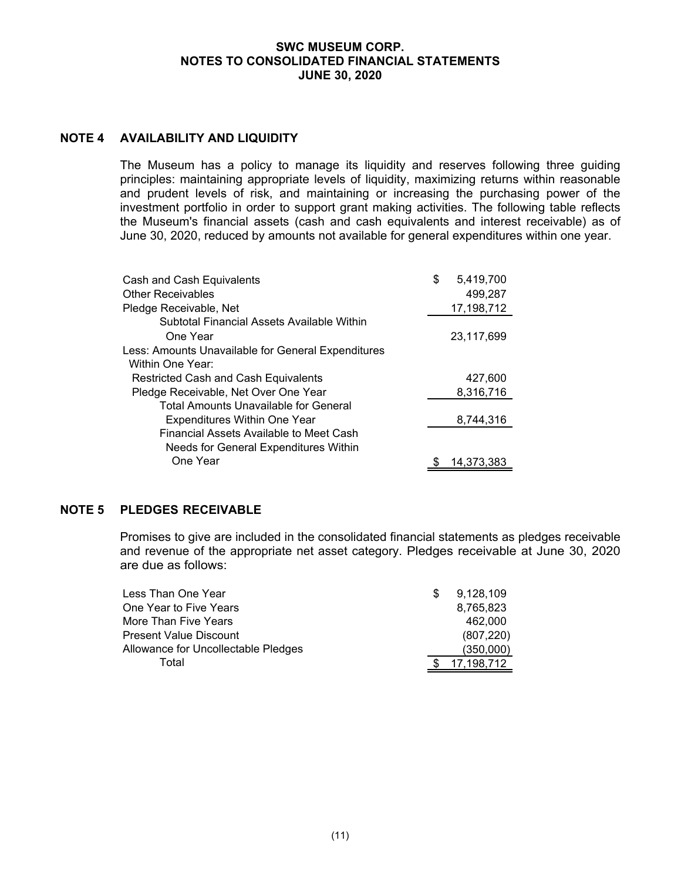## **NOTE 4 AVAILABILITY AND LIQUIDITY**

The Museum has a policy to manage its liquidity and reserves following three guiding principles: maintaining appropriate levels of liquidity, maximizing returns within reasonable and prudent levels of risk, and maintaining or increasing the purchasing power of the investment portfolio in order to support grant making activities. The following table reflects the Museum's financial assets (cash and cash equivalents and interest receivable) as of June 30, 2020, reduced by amounts not available for general expenditures within one year.

| Cash and Cash Equivalents                          | \$<br>5,419,700 |
|----------------------------------------------------|-----------------|
| Other Receivables                                  | 499,287         |
| Pledge Receivable, Net                             | 17,198,712      |
| Subtotal Financial Assets Available Within         |                 |
| One Year                                           | 23,117,699      |
| Less: Amounts Unavailable for General Expenditures |                 |
| Within One Year:                                   |                 |
| <b>Restricted Cash and Cash Equivalents</b>        | 427,600         |
| Pledge Receivable, Net Over One Year               | 8,316,716       |
| <b>Total Amounts Unavailable for General</b>       |                 |
| <b>Expenditures Within One Year</b>                | 8,744,316       |
| Financial Assets Available to Meet Cash            |                 |
| Needs for General Expenditures Within              |                 |
| One Year                                           | 14,373,383      |

## **NOTE 5 PLEDGES RECEIVABLE**

Promises to give are included in the consolidated financial statements as pledges receivable and revenue of the appropriate net asset category. Pledges receivable at June 30, 2020 are due as follows:

| Less Than One Year                  | \$. | 9,128,109  |
|-------------------------------------|-----|------------|
| One Year to Five Years              |     | 8,765,823  |
| More Than Five Years                |     | 462,000    |
| Present Value Discount              |     | (807, 220) |
| Allowance for Uncollectable Pledges |     | (350,000)  |
| Total                               |     | 17,198,712 |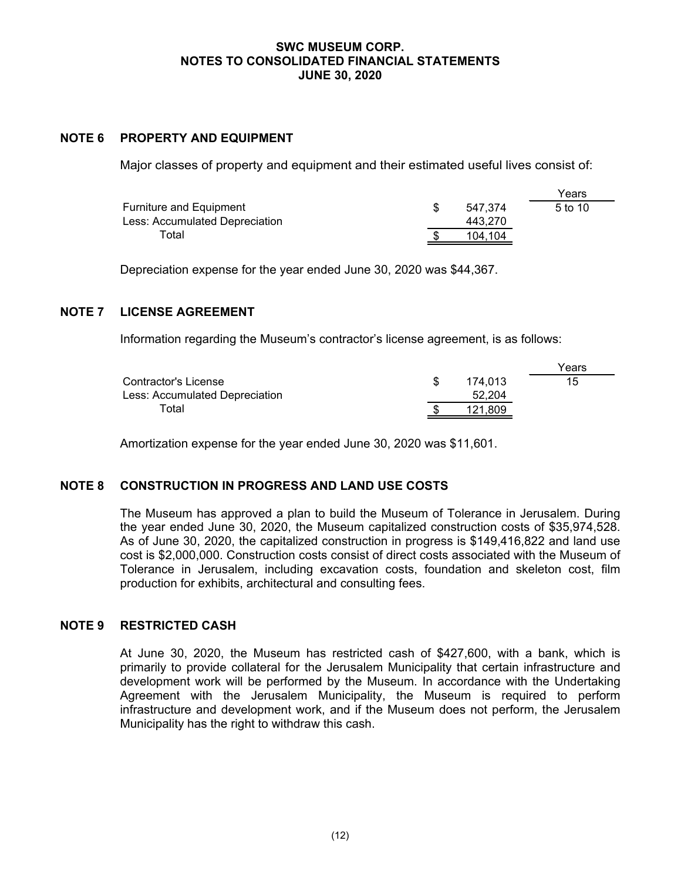## **NOTE 6 PROPERTY AND EQUIPMENT**

Major classes of property and equipment and their estimated useful lives consist of:

|                                |         | Years   |
|--------------------------------|---------|---------|
| Furniture and Equipment        | 547.374 | 5 to 10 |
| Less: Accumulated Depreciation | 443.270 |         |
| Total                          | 104.104 |         |

Depreciation expense for the year ended June 30, 2020 was \$44,367.

## **NOTE 7 LICENSE AGREEMENT**

Information regarding the Museum's contractor's license agreement, is as follows:

|                                |         | Years |
|--------------------------------|---------|-------|
| Contractor's License           | 174.013 | 15    |
| Less: Accumulated Depreciation | 52.204  |       |
| Total                          | 121.809 |       |

Amortization expense for the year ended June 30, 2020 was \$11,601.

## **NOTE 8 CONSTRUCTION IN PROGRESS AND LAND USE COSTS**

The Museum has approved a plan to build the Museum of Tolerance in Jerusalem. During the year ended June 30, 2020, the Museum capitalized construction costs of \$35,974,528. As of June 30, 2020, the capitalized construction in progress is \$149,416,822 and land use cost is \$2,000,000. Construction costs consist of direct costs associated with the Museum of Tolerance in Jerusalem, including excavation costs, foundation and skeleton cost, film production for exhibits, architectural and consulting fees.

## **NOTE 9 RESTRICTED CASH**

At June 30, 2020, the Museum has restricted cash of \$427,600, with a bank, which is primarily to provide collateral for the Jerusalem Municipality that certain infrastructure and development work will be performed by the Museum. In accordance with the Undertaking Agreement with the Jerusalem Municipality, the Museum is required to perform infrastructure and development work, and if the Museum does not perform, the Jerusalem Municipality has the right to withdraw this cash.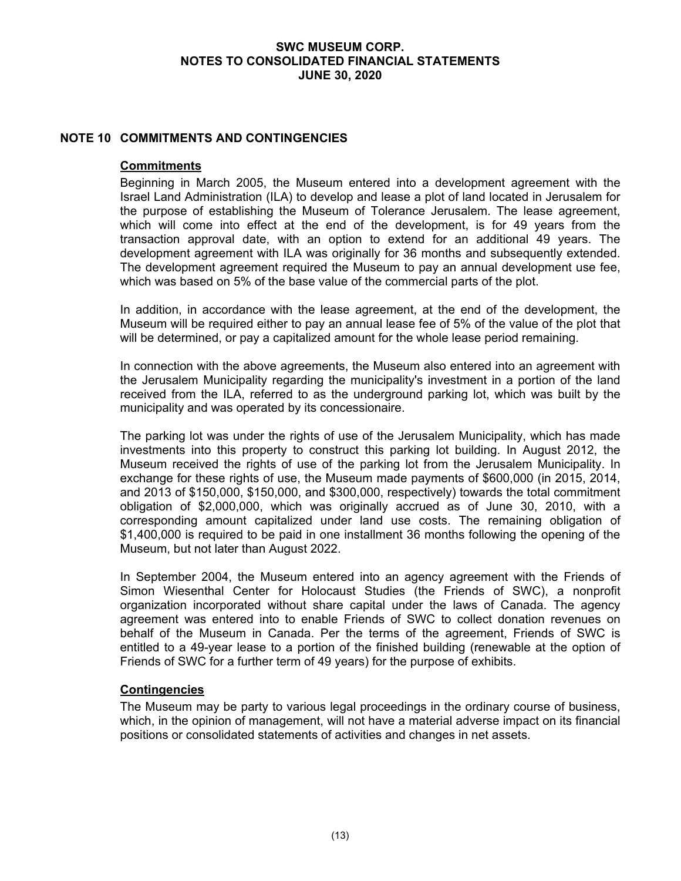## **NOTE 10 COMMITMENTS AND CONTINGENCIES**

#### **Commitments**

Beginning in March 2005, the Museum entered into a development agreement with the Israel Land Administration (ILA) to develop and lease a plot of land located in Jerusalem for the purpose of establishing the Museum of Tolerance Jerusalem. The lease agreement, which will come into effect at the end of the development, is for 49 years from the transaction approval date, with an option to extend for an additional 49 years. The development agreement with ILA was originally for 36 months and subsequently extended. The development agreement required the Museum to pay an annual development use fee, which was based on 5% of the base value of the commercial parts of the plot.

In addition, in accordance with the lease agreement, at the end of the development, the Museum will be required either to pay an annual lease fee of 5% of the value of the plot that will be determined, or pay a capitalized amount for the whole lease period remaining.

In connection with the above agreements, the Museum also entered into an agreement with the Jerusalem Municipality regarding the municipality's investment in a portion of the land received from the ILA, referred to as the underground parking lot, which was built by the municipality and was operated by its concessionaire.

The parking lot was under the rights of use of the Jerusalem Municipality, which has made investments into this property to construct this parking lot building. In August 2012, the Museum received the rights of use of the parking lot from the Jerusalem Municipality. In exchange for these rights of use, the Museum made payments of \$600,000 (in 2015, 2014, and 2013 of \$150,000, \$150,000, and \$300,000, respectively) towards the total commitment obligation of \$2,000,000, which was originally accrued as of June 30, 2010, with a corresponding amount capitalized under land use costs. The remaining obligation of \$1,400,000 is required to be paid in one installment 36 months following the opening of the Museum, but not later than August 2022.

In September 2004, the Museum entered into an agency agreement with the Friends of Simon Wiesenthal Center for Holocaust Studies (the Friends of SWC), a nonprofit organization incorporated without share capital under the laws of Canada. The agency agreement was entered into to enable Friends of SWC to collect donation revenues on behalf of the Museum in Canada. Per the terms of the agreement, Friends of SWC is entitled to a 49-year lease to a portion of the finished building (renewable at the option of Friends of SWC for a further term of 49 years) for the purpose of exhibits.

## **Contingencies**

The Museum may be party to various legal proceedings in the ordinary course of business, which, in the opinion of management, will not have a material adverse impact on its financial positions or consolidated statements of activities and changes in net assets.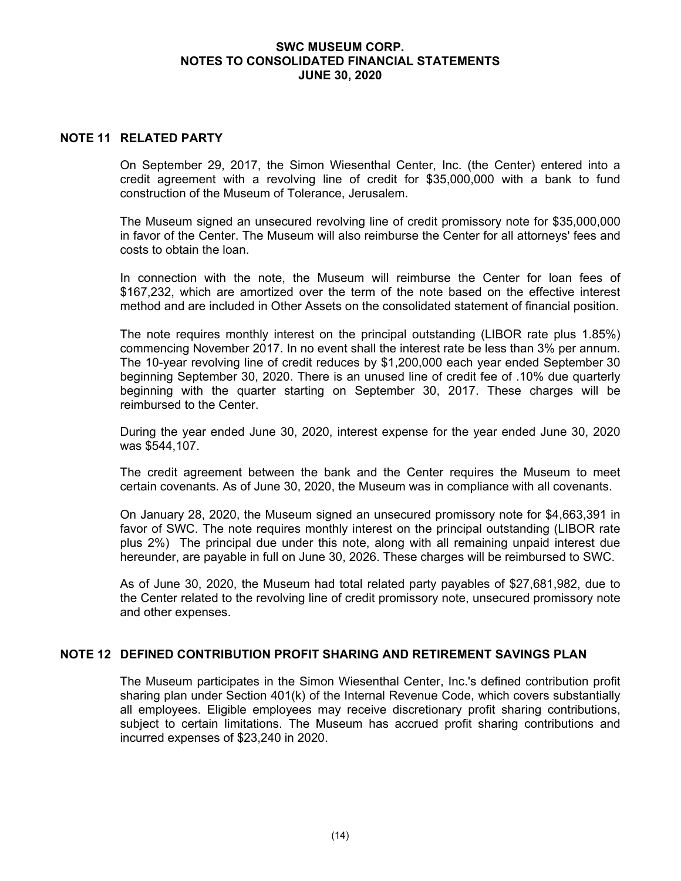#### **NOTE 11 RELATED PARTY**

On September 29, 2017, the Simon Wiesenthal Center, Inc. (the Center) entered into a credit agreement with a revolving line of credit for \$35,000,000 with a bank to fund construction of the Museum of Tolerance, Jerusalem.

The Museum signed an unsecured revolving line of credit promissory note for \$35,000,000 in favor of the Center. The Museum will also reimburse the Center for all attorneys' fees and costs to obtain the loan.

In connection with the note, the Museum will reimburse the Center for loan fees of \$167,232, which are amortized over the term of the note based on the effective interest method and are included in Other Assets on the consolidated statement of financial position.

The note requires monthly interest on the principal outstanding (LIBOR rate plus 1.85%) commencing November 2017. In no event shall the interest rate be less than 3% per annum. The 10-year revolving line of credit reduces by \$1,200,000 each year ended September 30 beginning September 30, 2020. There is an unused line of credit fee of .10% due quarterly beginning with the quarter starting on September 30, 2017. These charges will be reimbursed to the Center.

During the year ended June 30, 2020, interest expense for the year ended June 30, 2020 was \$544,107.

The credit agreement between the bank and the Center requires the Museum to meet certain covenants. As of June 30, 2020, the Museum was in compliance with all covenants.

On January 28, 2020, the Museum signed an unsecured promissory note for \$4,663,391 in favor of SWC. The note requires monthly interest on the principal outstanding (LIBOR rate plus 2%) The principal due under this note, along with all remaining unpaid interest due hereunder, are payable in full on June 30, 2026. These charges will be reimbursed to SWC.

As of June 30, 2020, the Museum had total related party payables of \$27,681,982, due to the Center related to the revolving line of credit promissory note, unsecured promissory note and other expenses.

#### **NOTE 12 DEFINED CONTRIBUTION PROFIT SHARING AND RETIREMENT SAVINGS PLAN**

The Museum participates in the Simon Wiesenthal Center, Inc.'s defined contribution profit sharing plan under Section 401(k) of the Internal Revenue Code, which covers substantially all employees. Eligible employees may receive discretionary profit sharing contributions, subject to certain limitations. The Museum has accrued profit sharing contributions and incurred expenses of \$23,240 in 2020.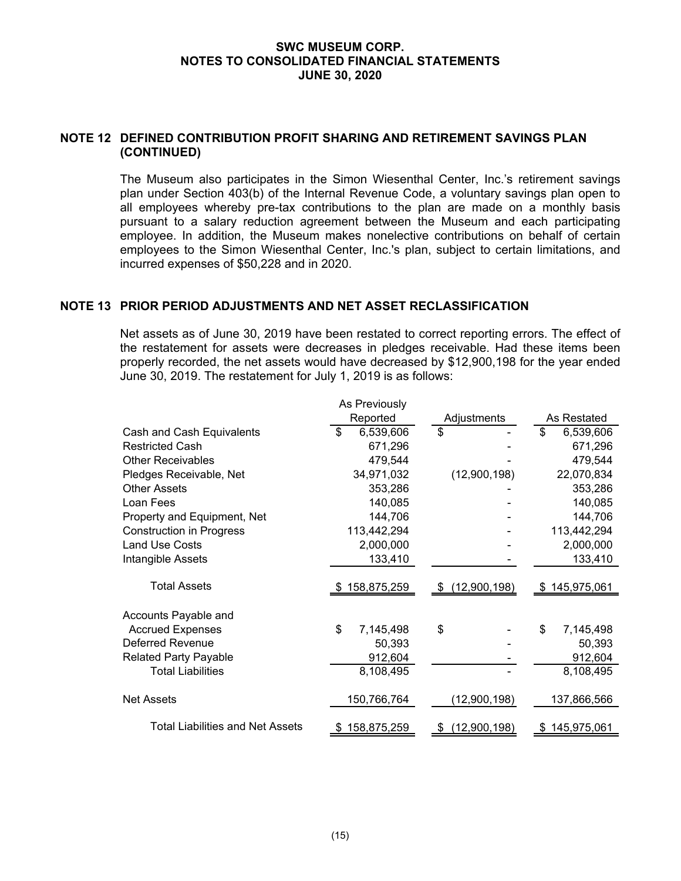## **NOTE 12 DEFINED CONTRIBUTION PROFIT SHARING AND RETIREMENT SAVINGS PLAN (CONTINUED)**

The Museum also participates in the Simon Wiesenthal Center, Inc.'s retirement savings plan under Section 403(b) of the Internal Revenue Code, a voluntary savings plan open to all employees whereby pre-tax contributions to the plan are made on a monthly basis pursuant to a salary reduction agreement between the Museum and each participating employee. In addition, the Museum makes nonelective contributions on behalf of certain employees to the Simon Wiesenthal Center, Inc.'s plan, subject to certain limitations, and incurred expenses of \$50,228 and in 2020.

## **NOTE 13 PRIOR PERIOD ADJUSTMENTS AND NET ASSET RECLASSIFICATION**

Net assets as of June 30, 2019 have been restated to correct reporting errors. The effect of the restatement for assets were decreases in pledges receivable. Had these items been properly recorded, the net assets would have decreased by \$12,900,198 for the year ended June 30, 2019. The restatement for July 1, 2019 is as follows:

|                                         | As Previously   |              |                 |
|-----------------------------------------|-----------------|--------------|-----------------|
|                                         | Reported        | Adjustments  | As Restated     |
| Cash and Cash Equivalents               | \$<br>6,539,606 | \$           | \$<br>6,539,606 |
| <b>Restricted Cash</b>                  | 671,296         |              | 671,296         |
| <b>Other Receivables</b>                | 479,544         |              | 479,544         |
| Pledges Receivable, Net                 | 34,971,032      | (12,900,198) | 22,070,834      |
| <b>Other Assets</b>                     | 353,286         |              | 353,286         |
| Loan Fees                               | 140,085         |              | 140,085         |
| Property and Equipment, Net             | 144,706         |              | 144,706         |
| <b>Construction in Progress</b>         | 113,442,294     |              | 113,442,294     |
| <b>Land Use Costs</b>                   | 2,000,000       |              | 2,000,000       |
| Intangible Assets                       | 133,410         |              | 133,410         |
|                                         |                 |              |                 |
| <b>Total Assets</b>                     | \$158,875,259   | (12,900,198) | \$145,975,061   |
| Accounts Payable and                    |                 |              |                 |
| <b>Accrued Expenses</b>                 | \$<br>7,145,498 | \$           | \$<br>7,145,498 |
| <b>Deferred Revenue</b>                 | 50,393          |              | 50,393          |
| <b>Related Party Payable</b>            | 912,604         |              | 912,604         |
| <b>Total Liabilities</b>                | 8,108,495       |              | 8,108,495       |
| <b>Net Assets</b>                       | 150,766,764     | (12,900,198) | 137,866,566     |
| <b>Total Liabilities and Net Assets</b> | 158,875,259     | (12,900,198) | \$145,975,061   |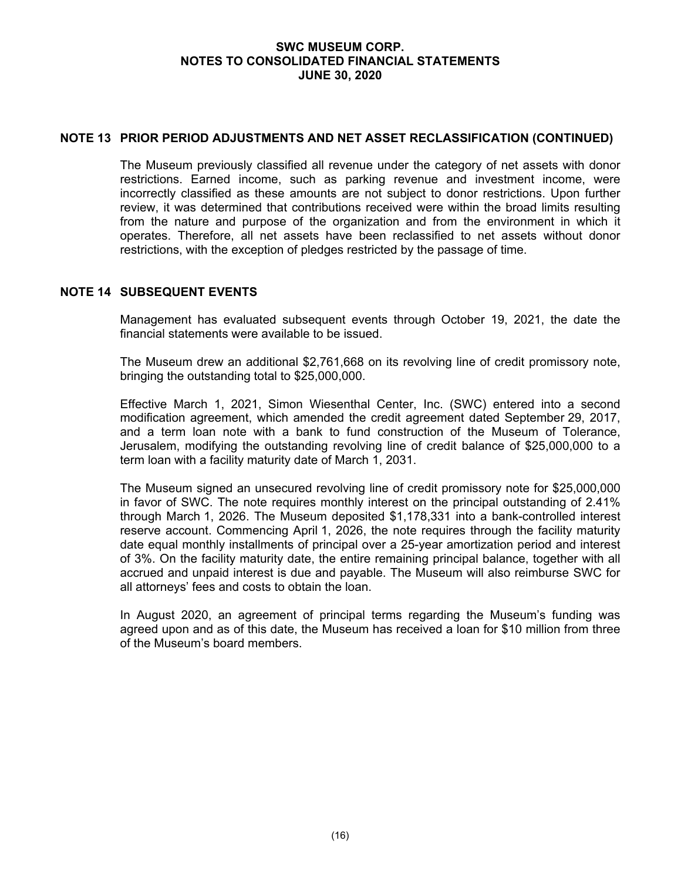#### **NOTE 13 PRIOR PERIOD ADJUSTMENTS AND NET ASSET RECLASSIFICATION (CONTINUED)**

The Museum previously classified all revenue under the category of net assets with donor restrictions. Earned income, such as parking revenue and investment income, were incorrectly classified as these amounts are not subject to donor restrictions. Upon further review, it was determined that contributions received were within the broad limits resulting from the nature and purpose of the organization and from the environment in which it operates. Therefore, all net assets have been reclassified to net assets without donor restrictions, with the exception of pledges restricted by the passage of time.

#### **NOTE 14 SUBSEQUENT EVENTS**

Management has evaluated subsequent events through October 19, 2021, the date the financial statements were available to be issued.

The Museum drew an additional \$2,761,668 on its revolving line of credit promissory note, bringing the outstanding total to \$25,000,000.

Effective March 1, 2021, Simon Wiesenthal Center, Inc. (SWC) entered into a second modification agreement, which amended the credit agreement dated September 29, 2017, and a term loan note with a bank to fund construction of the Museum of Tolerance, Jerusalem, modifying the outstanding revolving line of credit balance of \$25,000,000 to a term loan with a facility maturity date of March 1, 2031.

The Museum signed an unsecured revolving line of credit promissory note for \$25,000,000 in favor of SWC. The note requires monthly interest on the principal outstanding of 2.41% through March 1, 2026. The Museum deposited \$1,178,331 into a bank-controlled interest reserve account. Commencing April 1, 2026, the note requires through the facility maturity date equal monthly installments of principal over a 25-year amortization period and interest of 3%. On the facility maturity date, the entire remaining principal balance, together with all accrued and unpaid interest is due and payable. The Museum will also reimburse SWC for all attorneys' fees and costs to obtain the loan.

In August 2020, an agreement of principal terms regarding the Museum's funding was agreed upon and as of this date, the Museum has received a loan for \$10 million from three of the Museum's board members.